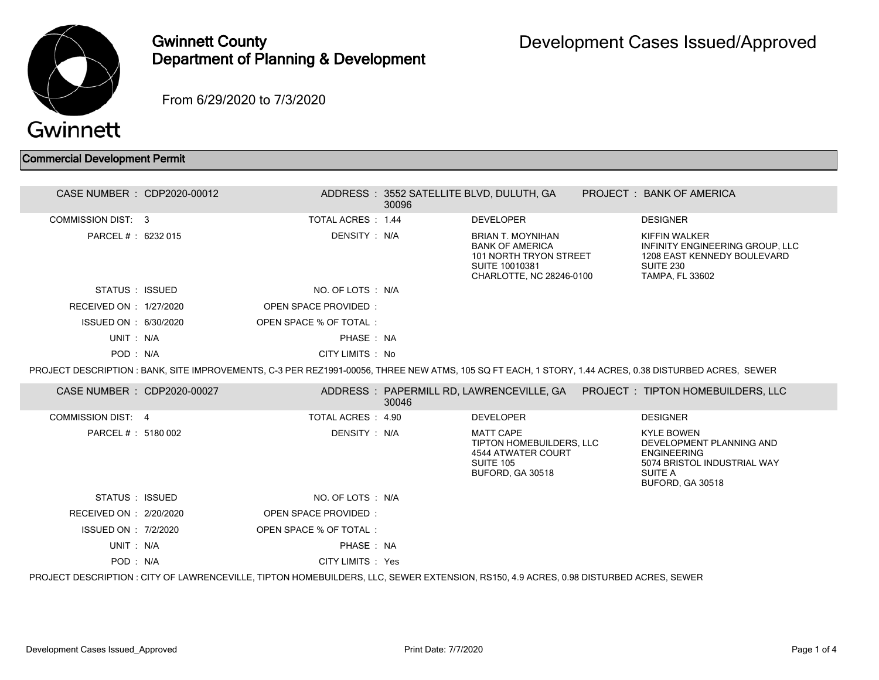

## Gwinnett County Department of Planning & Development

From 6/29/2020 to 7/3/2020

## Commercial Development Permit

| CASE NUMBER : CDP2020-00012                                                                                                           |  |                        | 30096 | ADDRESS: 3552 SATELLITE BLVD, DULUTH, GA                                                                                   |  | PROJECT: BANK OF AMERICA                                                                                                                               |
|---------------------------------------------------------------------------------------------------------------------------------------|--|------------------------|-------|----------------------------------------------------------------------------------------------------------------------------|--|--------------------------------------------------------------------------------------------------------------------------------------------------------|
| <b>COMMISSION DIST: 3</b>                                                                                                             |  | TOTAL ACRES: 1.44      |       | <b>DEVELOPER</b>                                                                                                           |  | <b>DESIGNER</b>                                                                                                                                        |
| PARCEL # : 6232 015                                                                                                                   |  | DENSITY: N/A           |       | <b>BRIAN T. MOYNIHAN</b><br><b>BANK OF AMERICA</b><br>101 NORTH TRYON STREET<br>SUITE 10010381<br>CHARLOTTE, NC 28246-0100 |  | KIFFIN WALKER<br>INFINITY ENGINEERING GROUP, LLC<br>1208 EAST KENNEDY BOULEVARD<br><b>SUITE 230</b><br><b>TAMPA, FL 33602</b>                          |
| STATUS : ISSUED                                                                                                                       |  | NO. OF LOTS : N/A      |       |                                                                                                                            |  |                                                                                                                                                        |
| RECEIVED ON : 1/27/2020                                                                                                               |  | OPEN SPACE PROVIDED:   |       |                                                                                                                            |  |                                                                                                                                                        |
| ISSUED ON : 6/30/2020                                                                                                                 |  | OPEN SPACE % OF TOTAL: |       |                                                                                                                            |  |                                                                                                                                                        |
| UNIT: N/A                                                                                                                             |  | PHASE: NA              |       |                                                                                                                            |  |                                                                                                                                                        |
| POD: N/A                                                                                                                              |  | CITY LIMITS : No       |       |                                                                                                                            |  |                                                                                                                                                        |
|                                                                                                                                       |  |                        |       |                                                                                                                            |  | PROJECT DESCRIPTION : BANK, SITE IMPROVEMENTS, C-3 PER REZ1991-00056, THREE NEW ATMS, 105 SQ FT EACH, 1 STORY, 1.44 ACRES, 0.38 DISTURBED ACRES, SEWER |
| CASE NUMBER : CDP2020-00027                                                                                                           |  |                        | 30046 |                                                                                                                            |  | ADDRESS: PAPERMILL RD, LAWRENCEVILLE, GA  PROJECT: TIPTON HOMEBUILDERS, LLC                                                                            |
| COMMISSION DIST: 4                                                                                                                    |  | TOTAL ACRES: 4.90      |       | <b>DEVELOPER</b>                                                                                                           |  | <b>DESIGNER</b>                                                                                                                                        |
| PARCEL # : 5180 002                                                                                                                   |  | DENSITY : N/A          |       | <b>MATT CAPE</b><br>TIPTON HOMEBUILDERS, LLC<br><b>4544 ATWATER COURT</b><br><b>SUITE 105</b><br>BUFORD, GA 30518          |  | <b>KYLE BOWEN</b><br>DEVELOPMENT PLANNING AND<br><b>ENGINEERING</b><br>5074 BRISTOL INDUSTRIAL WAY<br>SUITE A<br><b>BUFORD, GA 30518</b>               |
| STATUS : ISSUED                                                                                                                       |  | NO. OF LOTS : N/A      |       |                                                                                                                            |  |                                                                                                                                                        |
| RECEIVED ON : 2/20/2020                                                                                                               |  | OPEN SPACE PROVIDED:   |       |                                                                                                                            |  |                                                                                                                                                        |
| ISSUED ON : 7/2/2020                                                                                                                  |  | OPEN SPACE % OF TOTAL: |       |                                                                                                                            |  |                                                                                                                                                        |
| UNIT: N/A                                                                                                                             |  | PHASE: NA              |       |                                                                                                                            |  |                                                                                                                                                        |
| POD: N/A                                                                                                                              |  | CITY LIMITS : Yes      |       |                                                                                                                            |  |                                                                                                                                                        |
| PROJECT DESCRIPTION : CITY OF LAWRENCEVILLE, TIPTON HOMEBUILDERS, LLC, SEWER EXTENSION, RS150, 4.9 ACRES, 0.98 DISTURBED ACRES, SEWER |  |                        |       |                                                                                                                            |  |                                                                                                                                                        |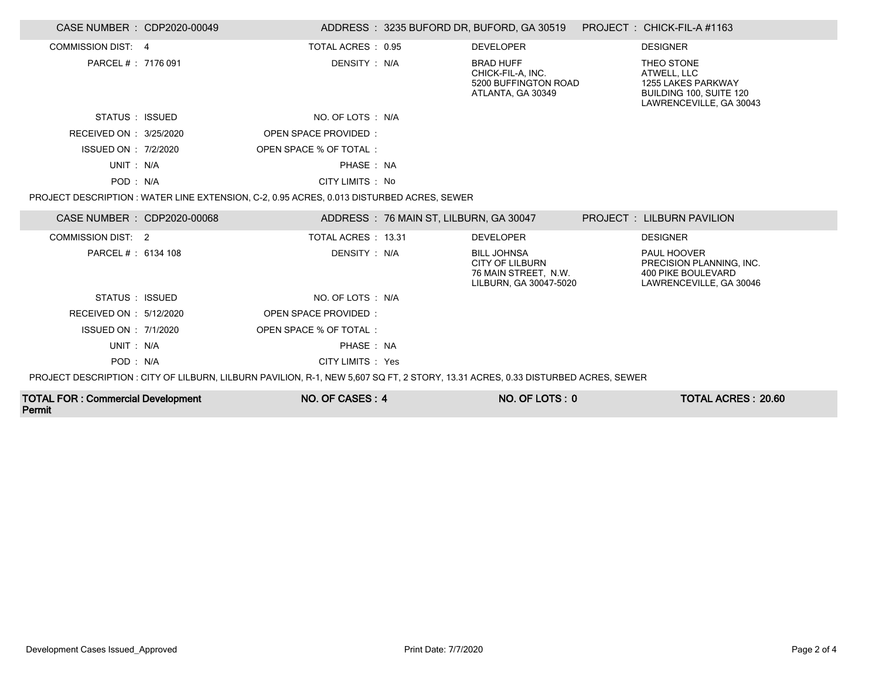| CASE NUMBER : CDP2020-00049                                                                                                     |  |                                                                                           |                                        | ADDRESS: 3235 BUFORD DR, BUFORD, GA 30519 PROJECT: CHICK-FIL-A #1163                           |  |                                                                                                       |
|---------------------------------------------------------------------------------------------------------------------------------|--|-------------------------------------------------------------------------------------------|----------------------------------------|------------------------------------------------------------------------------------------------|--|-------------------------------------------------------------------------------------------------------|
| COMMISSION DIST: 4                                                                                                              |  | TOTAL ACRES : 0.95                                                                        |                                        | <b>DEVELOPER</b>                                                                               |  | <b>DESIGNER</b>                                                                                       |
| PARCEL #: 7176 091                                                                                                              |  | DENSITY : N/A                                                                             |                                        | <b>BRAD HUFF</b><br>CHICK-FIL-A, INC.<br>5200 BUFFINGTON ROAD<br>ATLANTA, GA 30349             |  | THEO STONE<br>ATWELL, LLC<br>1255 LAKES PARKWAY<br>BUILDING 100, SUITE 120<br>LAWRENCEVILLE, GA 30043 |
| STATUS : ISSUED                                                                                                                 |  | NO. OF LOTS : N/A                                                                         |                                        |                                                                                                |  |                                                                                                       |
| RECEIVED ON : 3/25/2020                                                                                                         |  | OPEN SPACE PROVIDED:                                                                      |                                        |                                                                                                |  |                                                                                                       |
| ISSUED ON : 7/2/2020                                                                                                            |  | OPEN SPACE % OF TOTAL:                                                                    |                                        |                                                                                                |  |                                                                                                       |
| UNIT: N/A                                                                                                                       |  | PHASE: NA                                                                                 |                                        |                                                                                                |  |                                                                                                       |
| POD: N/A                                                                                                                        |  | CITY LIMITS : No                                                                          |                                        |                                                                                                |  |                                                                                                       |
|                                                                                                                                 |  | PROJECT DESCRIPTION : WATER LINE EXTENSION, C-2, 0.95 ACRES, 0.013 DISTURBED ACRES, SEWER |                                        |                                                                                                |  |                                                                                                       |
| CASE NUMBER : CDP2020-00068                                                                                                     |  |                                                                                           | ADDRESS: 76 MAIN ST, LILBURN, GA 30047 |                                                                                                |  | PROJECT : LILBURN PAVILION                                                                            |
| <b>COMMISSION DIST: 2</b>                                                                                                       |  | TOTAL ACRES: 13.31                                                                        |                                        | <b>DEVELOPER</b>                                                                               |  | <b>DESIGNER</b>                                                                                       |
| PARCEL #: 6134 108                                                                                                              |  | DENSITY : N/A                                                                             |                                        | <b>BILL JOHNSA</b><br><b>CITY OF LILBURN</b><br>76 MAIN STREET. N.W.<br>LILBURN, GA 30047-5020 |  | PAUL HOOVER<br>PRECISION PLANNING. INC.<br><b>400 PIKE BOULEVARD</b><br>LAWRENCEVILLE, GA 30046       |
| STATUS : ISSUED                                                                                                                 |  | NO. OF LOTS : N/A                                                                         |                                        |                                                                                                |  |                                                                                                       |
| RECEIVED ON : 5/12/2020                                                                                                         |  | OPEN SPACE PROVIDED:                                                                      |                                        |                                                                                                |  |                                                                                                       |
| ISSUED ON : 7/1/2020                                                                                                            |  | OPEN SPACE % OF TOTAL:                                                                    |                                        |                                                                                                |  |                                                                                                       |
| UNIT: N/A                                                                                                                       |  | PHASE: NA                                                                                 |                                        |                                                                                                |  |                                                                                                       |
| POD: N/A                                                                                                                        |  | CITY LIMITS : Yes                                                                         |                                        |                                                                                                |  |                                                                                                       |
| PROJECT DESCRIPTION: CITY OF LILBURN, LILBURN PAVILION, R-1, NEW 5,607 SQ FT, 2 STORY, 13.31 ACRES, 0.33 DISTURBED ACRES, SEWER |  |                                                                                           |                                        |                                                                                                |  |                                                                                                       |
| <b>TOTAL FOR: Commercial Development</b>                                                                                        |  | NO. OF CASES: 4                                                                           |                                        | NO. OF LOTS: 0                                                                                 |  | <b>TOTAL ACRES: 20.60</b>                                                                             |

Permit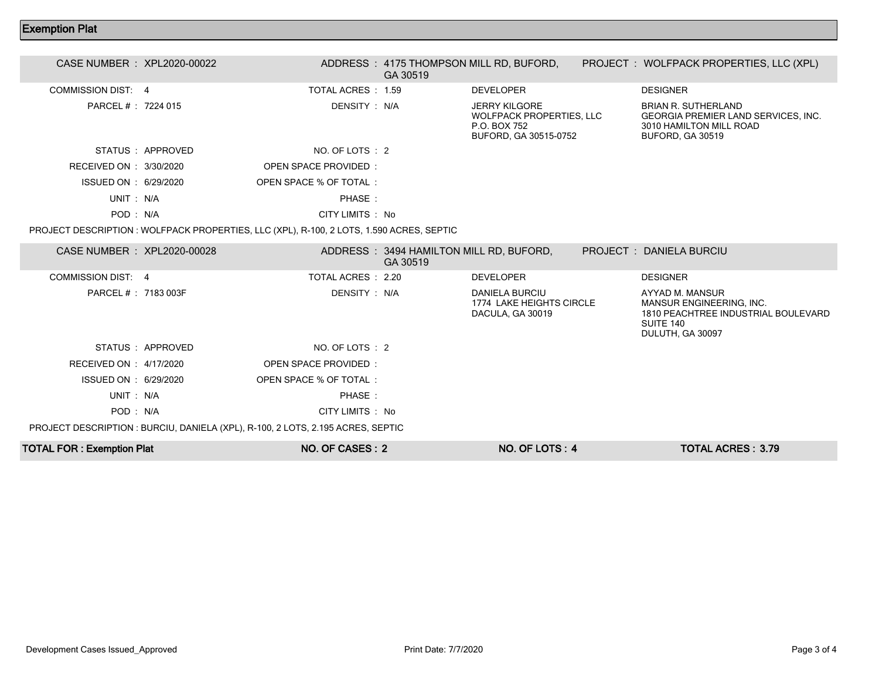## Exemption Plat

| CASE NUMBER : XPL2020-00022      |                  |                                                                                          | GA 30519                                            | ADDRESS: 4175 THOMPSON MILL RD, BUFORD,                                                          | PROJECT : WOLFPACK PROPERTIES, LLC (XPL)                                                                            |
|----------------------------------|------------------|------------------------------------------------------------------------------------------|-----------------------------------------------------|--------------------------------------------------------------------------------------------------|---------------------------------------------------------------------------------------------------------------------|
| <b>COMMISSION DIST: 4</b>        |                  | TOTAL ACRES : 1.59                                                                       |                                                     | <b>DEVELOPER</b>                                                                                 | <b>DESIGNER</b>                                                                                                     |
| PARCEL #: 7224 015               |                  | DENSITY: N/A                                                                             |                                                     | <b>JERRY KILGORE</b><br><b>WOLFPACK PROPERTIES, LLC</b><br>P.O. BOX 752<br>BUFORD, GA 30515-0752 | <b>BRIAN R. SUTHERLAND</b><br>GEORGIA PREMIER LAND SERVICES, INC.<br>3010 HAMILTON MILL ROAD<br>BUFORD, GA 30519    |
|                                  | STATUS: APPROVED | NO. OF LOTS : 2                                                                          |                                                     |                                                                                                  |                                                                                                                     |
| RECEIVED ON : 3/30/2020          |                  | OPEN SPACE PROVIDED:                                                                     |                                                     |                                                                                                  |                                                                                                                     |
| ISSUED ON : 6/29/2020            |                  | OPEN SPACE % OF TOTAL:                                                                   |                                                     |                                                                                                  |                                                                                                                     |
| UNIT: N/A                        |                  | PHASE:                                                                                   |                                                     |                                                                                                  |                                                                                                                     |
| POD: N/A                         |                  | CITY LIMITS : No                                                                         |                                                     |                                                                                                  |                                                                                                                     |
|                                  |                  | PROJECT DESCRIPTION : WOLFPACK PROPERTIES, LLC (XPL), R-100, 2 LOTS, 1.590 ACRES, SEPTIC |                                                     |                                                                                                  |                                                                                                                     |
| CASE NUMBER : XPL2020-00028      |                  |                                                                                          | ADDRESS: 3494 HAMILTON MILL RD, BUFORD,<br>GA 30519 |                                                                                                  | PROJECT: DANIELA BURCIU                                                                                             |
| COMMISSION DIST: 4               |                  | TOTAL ACRES : 2.20                                                                       |                                                     | <b>DEVELOPER</b>                                                                                 | <b>DESIGNER</b>                                                                                                     |
| PARCEL # : 7183 003F             |                  | DENSITY: N/A                                                                             |                                                     | <b>DANIELA BURCIU</b><br>1774 LAKE HEIGHTS CIRCLE<br>DACULA, GA 30019                            | AYYAD M. MANSUR<br>MANSUR ENGINEERING, INC.<br>1810 PEACHTREE INDUSTRIAL BOULEVARD<br>SUITE 140<br>DULUTH, GA 30097 |
|                                  | STATUS: APPROVED | NO. OF LOTS : 2                                                                          |                                                     |                                                                                                  |                                                                                                                     |
| RECEIVED ON : 4/17/2020          |                  | OPEN SPACE PROVIDED:                                                                     |                                                     |                                                                                                  |                                                                                                                     |
| ISSUED ON : 6/29/2020            |                  | OPEN SPACE % OF TOTAL:                                                                   |                                                     |                                                                                                  |                                                                                                                     |
| UNIT: N/A                        |                  | PHASE:                                                                                   |                                                     |                                                                                                  |                                                                                                                     |
| POD: N/A                         |                  | CITY LIMITS : No                                                                         |                                                     |                                                                                                  |                                                                                                                     |
|                                  |                  | PROJECT DESCRIPTION : BURCIU, DANIELA (XPL), R-100, 2 LOTS, 2.195 ACRES, SEPTIC          |                                                     |                                                                                                  |                                                                                                                     |
| <b>TOTAL FOR: Exemption Plat</b> |                  | NO. OF CASES: 2                                                                          |                                                     | NO. OF LOTS: 4                                                                                   | <b>TOTAL ACRES: 3.79</b>                                                                                            |